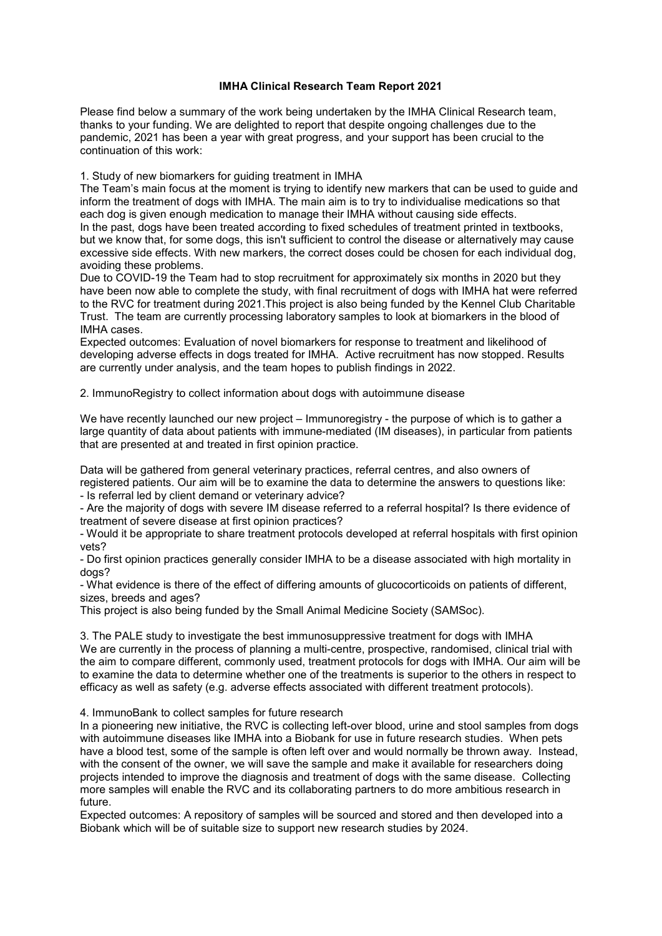## **IMHA Clinical Research Team Report 2021**

Please find below a summary of the work being undertaken by the IMHA Clinical Research team, thanks to your funding. We are delighted to report that despite ongoing challenges due to the pandemic, 2021 has been a year with great progress, and your support has been crucial to the continuation of this work:

1. Study of new biomarkers for guiding treatment in IMHA

The Team's main focus at the moment is trying to identify new markers that can be used to guide and inform the treatment of dogs with IMHA. The main aim is to try to individualise medications so that each dog is given enough medication to manage their IMHA without causing side effects. In the past, dogs have been treated according to fixed schedules of treatment printed in textbooks, but we know that, for some dogs, this isn't sufficient to control the disease or alternatively may cause excessive side effects. With new markers, the correct doses could be chosen for each individual dog, avoiding these problems.

Due to COVID-19 the Team had to stop recruitment for approximately six months in 2020 but they have been now able to complete the study, with final recruitment of dogs with IMHA hat were referred to the RVC for treatment during 2021.This project is also being funded by the Kennel Club Charitable Trust. The team are currently processing laboratory samples to look at biomarkers in the blood of IMHA cases.

Expected outcomes: Evaluation of novel biomarkers for response to treatment and likelihood of developing adverse effects in dogs treated for IMHA. Active recruitment has now stopped. Results are currently under analysis, and the team hopes to publish findings in 2022.

2. ImmunoRegistry to collect information about dogs with autoimmune disease

We have recently launched our new project – Immunoregistry - the purpose of which is to gather a large quantity of data about patients with immune-mediated (IM diseases), in particular from patients that are presented at and treated in first opinion practice.

Data will be gathered from general veterinary practices, referral centres, and also owners of registered patients. Our aim will be to examine the data to determine the answers to questions like: - Is referral led by client demand or veterinary advice?

- Are the majority of dogs with severe IM disease referred to a referral hospital? Is there evidence of treatment of severe disease at first opinion practices?

- Would it be appropriate to share treatment protocols developed at referral hospitals with first opinion vets?

- Do first opinion practices generally consider IMHA to be a disease associated with high mortality in dogs?

- What evidence is there of the effect of differing amounts of glucocorticoids on patients of different, sizes, breeds and ages?

This project is also being funded by the Small Animal Medicine Society (SAMSoc).

3. The PALE study to investigate the best immunosuppressive treatment for dogs with IMHA We are currently in the process of planning a multi-centre, prospective, randomised, clinical trial with the aim to compare different, commonly used, treatment protocols for dogs with IMHA. Our aim will be to examine the data to determine whether one of the treatments is superior to the others in respect to efficacy as well as safety (e.g. adverse effects associated with different treatment protocols).

4. ImmunoBank to collect samples for future research

In a pioneering new initiative, the RVC is collecting left-over blood, urine and stool samples from dogs with autoimmune diseases like IMHA into a Biobank for use in future research studies. When pets have a blood test, some of the sample is often left over and would normally be thrown away. Instead, with the consent of the owner, we will save the sample and make it available for researchers doing projects intended to improve the diagnosis and treatment of dogs with the same disease. Collecting more samples will enable the RVC and its collaborating partners to do more ambitious research in future.

Expected outcomes: A repository of samples will be sourced and stored and then developed into a Biobank which will be of suitable size to support new research studies by 2024.